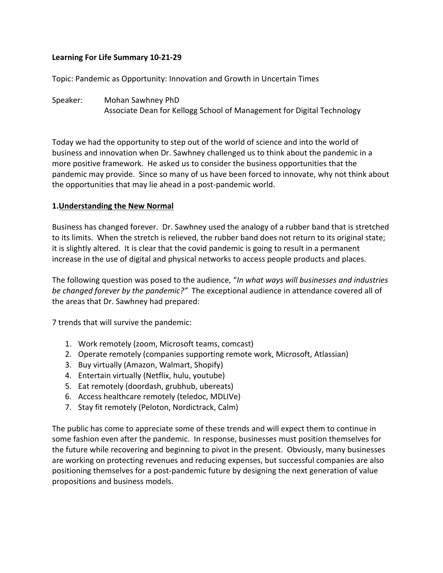## **Learning For Life Summary 10-21-29**

Topic: Pandemic as Opportunity: Innovation and Growth in Uncertain Times

Speaker: Mohan Sawhney PhD Associate Dean for Kellogg School of Management for Digital Technology

Today we had the opportunity to step out of the world of science and into the world of business and innovation when Dr. Sawhney challenged us to think about the pandemic in a more positive framework. He asked us to consider the business opportunities that the pandemic may provide. Since so many of us have been forced to innovate, why not think about the opportunities that may lie ahead in a post-pandemic world.

#### **1.Understanding the New Normal**

Business has changed forever. Dr. Sawhney used the analogy of a rubber band that is stretched to its limits. When the stretch is relieved, the rubber band does not return to its original state; it is slightly altered. It is clear that the covid pandemic is going to result in a permanent increase in the use of digital and physical networks to access people products and places.

The following question was posed to the audience, "*In what ways will businesses and industries be changed forever by the pandemic?"* The exceptional audience in attendance covered all of the areas that Dr. Sawhney had prepared:

7 trends that will survive the pandemic:

- 1. Work remotely (zoom, Microsoft teams, comcast)
- 2. Operate remotely (companies supporting remote work, Microsoft, Atlassian)
- 3. Buy virtually (Amazon, Walmart, Shopify)
- 4. Entertain virtually (Netflix, hulu, youtube)
- 5. Eat remotely (doordash, grubhub, ubereats)
- 6. Access healthcare remotely (teledoc, MDLIVe)
- 7. Stay fit remotely (Peloton, Nordictrack, Calm)

The public has come to appreciate some of these trends and will expect them to continue in some fashion even after the pandemic. In response, businesses must position themselves for the future while recovering and beginning to pivot in the present. Obviously, many businesses are working on protecting revenues and reducing expenses, but successful companies are also positioning themselves for a post-pandemic future by designing the next generation of value propositions and business models.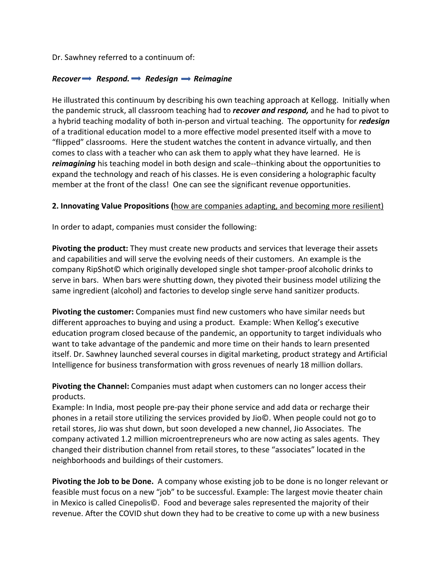Dr. Sawhney referred to a continuum of:

#### *Recover*  $\rightarrow$  *Respond.*  $\rightarrow$  *Redesign*  $\rightarrow$  *Reimagine*

He illustrated this continuum by describing his own teaching approach at Kellogg. Initially when the pandemic struck, all classroom teaching had to *recover and respond,* and he had to pivot to a hybrid teaching modality of both in-person and virtual teaching. The opportunity for *redesign* of a traditional education model to a more effective model presented itself with a move to "flipped" classrooms. Here the student watches the content in advance virtually, and then comes to class with a teacher who can ask them to apply what they have learned. He is *reimagining* his teaching model in both design and scale--thinking about the opportunities to expand the technology and reach of his classes. He is even considering a holographic faculty member at the front of the class! One can see the significant revenue opportunities.

#### **2. Innovating Value Propositions (**how are companies adapting, and becoming more resilient)

In order to adapt, companies must consider the following:

**Pivoting the product:** They must create new products and services that leverage their assets and capabilities and will serve the evolving needs of their customers. An example is the company RipShot© which originally developed single shot tamper-proof alcoholic drinks to serve in bars. When bars were shutting down, they pivoted their business model utilizing the same ingredient (alcohol) and factories to develop single serve hand sanitizer products.

**Pivoting the customer:** Companies must find new customers who have similar needs but different approaches to buying and using a product. Example: When Kellog's executive education program closed because of the pandemic, an opportunity to target individuals who want to take advantage of the pandemic and more time on their hands to learn presented itself. Dr. Sawhney launched several courses in digital marketing, product strategy and Artificial Intelligence for business transformation with gross revenues of nearly 18 million dollars.

**Pivoting the Channel:** Companies must adapt when customers can no longer access their products.

Example: In India, most people pre-pay their phone service and add data or recharge their phones in a retail store utilizing the services provided by Jio©. When people could not go to retail stores, Jio was shut down, but soon developed a new channel, Jio Associates. The company activated 1.2 million microentrepreneurs who are now acting as sales agents. They changed their distribution channel from retail stores, to these "associates" located in the neighborhoods and buildings of their customers.

**Pivoting the Job to be Done.** A company whose existing job to be done is no longer relevant or feasible must focus on a new "job" to be successful. Example: The largest movie theater chain in Mexico is called Cinepolis©. Food and beverage sales represented the majority of their revenue. After the COVID shut down they had to be creative to come up with a new business